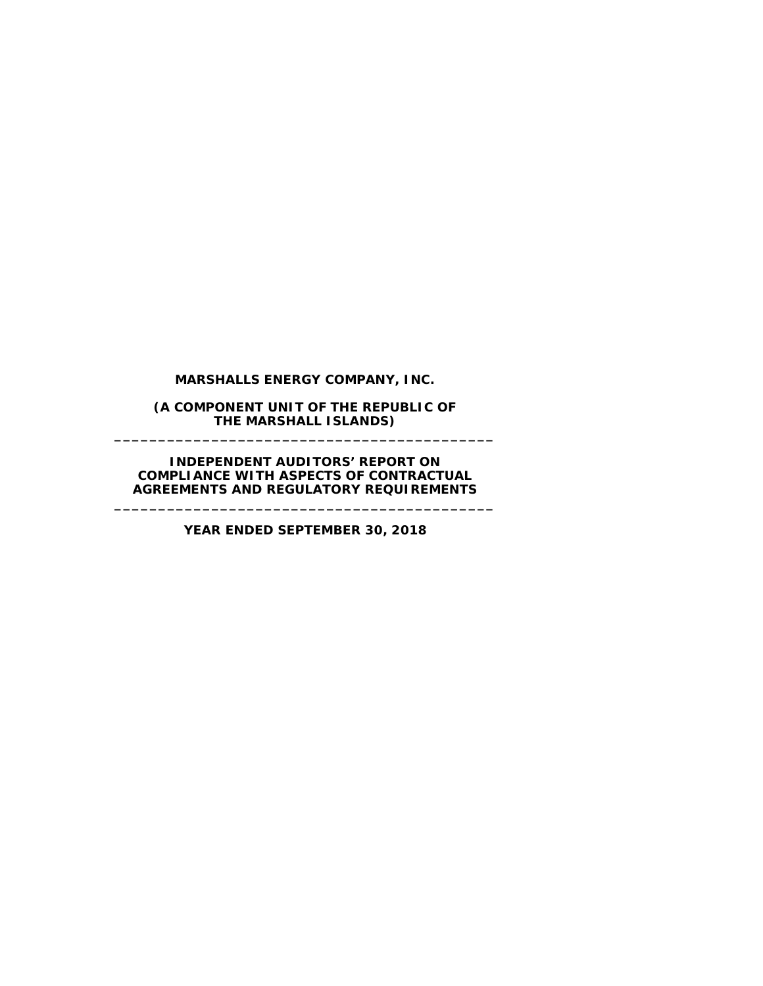**MARSHALLS ENERGY COMPANY, INC.**

**(A COMPONENT UNIT OF THE REPUBLIC OF THE MARSHALL ISLANDS) \_\_\_\_\_\_\_\_\_\_\_\_\_\_\_\_\_\_\_\_\_\_\_\_\_\_\_\_\_\_\_\_\_\_\_\_\_\_\_\_\_\_\_**

**INDEPENDENT AUDITORS' REPORT ON COMPLIANCE WITH ASPECTS OF CONTRACTUAL AGREEMENTS AND REGULATORY REQUIREMENTS**

**\_\_\_\_\_\_\_\_\_\_\_\_\_\_\_\_\_\_\_\_\_\_\_\_\_\_\_\_\_\_\_\_\_\_\_\_\_\_\_\_\_\_\_**

**YEAR ENDED SEPTEMBER 30, 2018**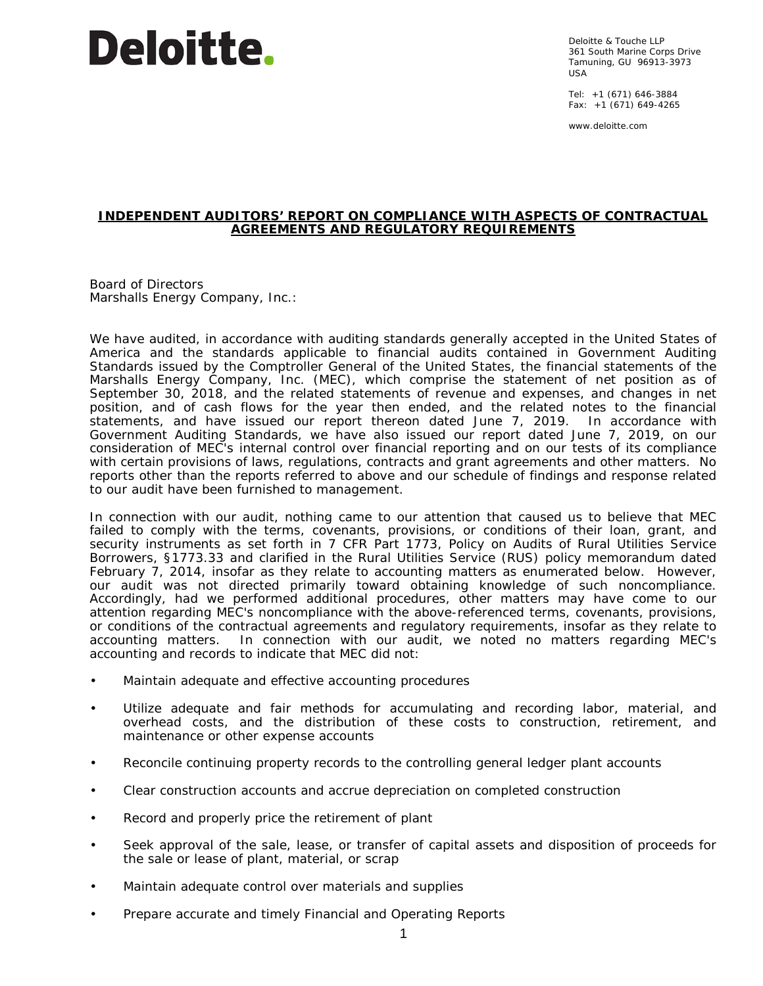## **Deloitte.**

Deloitte & Touche LLP 361 South Marine Corps Drive Tamuning, GU 96913-3973 USA

Tel: +1 (671) 646-3884 Fax: +1 (671) 649-4265

www.deloitte.com

## **INDEPENDENT AUDITORS' REPORT ON COMPLIANCE WITH ASPECTS OF CONTRACTUAL AGREEMENTS AND REGULATORY REQUIREMENTS**

Board of Directors Marshalls Energy Company, Inc.:

We have audited, in accordance with auditing standards generally accepted in the United States of America and the standards applicable to financial audits contained in *Government Auditing Standards* issued by the Comptroller General of the United States, the financial statements of the Marshalls Energy Company, Inc. (MEC), which comprise the statement of net position as of September 30, 2018, and the related statements of revenue and expenses, and changes in net position, and of cash flows for the year then ended, and the related notes to the financial statements, and have issued our report thereon dated June 7, 2019. In accordance with *Government Auditing Standards*, we have also issued our report dated June 7, 2019, on our consideration of MEC's internal control over financial reporting and on our tests of its compliance with certain provisions of laws, regulations, contracts and grant agreements and other matters. No reports other than the reports referred to above and our schedule of findings and response related to our audit have been furnished to management.

In connection with our audit, nothing came to our attention that caused us to believe that MEC failed to comply with the terms, covenants, provisions, or conditions of their loan, grant, and security instruments as set forth in 7 CFR Part 1773, *Policy on Audits of Rural Utilities Service Borrowers*, §1773.33 and clarified in the Rural Utilities Service (RUS) policy memorandum dated February 7, 2014, insofar as they relate to accounting matters as enumerated below. However, our audit was not directed primarily toward obtaining knowledge of such noncompliance. Accordingly, had we performed additional procedures, other matters may have come to our attention regarding MEC's noncompliance with the above-referenced terms, covenants, provisions, or conditions of the contractual agreements and regulatory requirements, insofar as they relate to accounting matters. In connection with our audit, we noted no matters regarding MEC's accounting and records to indicate that MEC did not:

- Maintain adequate and effective accounting procedures
- Utilize adequate and fair methods for accumulating and recording labor, material, and overhead costs, and the distribution of these costs to construction, retirement, and maintenance or other expense accounts
- Reconcile continuing property records to the controlling general ledger plant accounts
- Clear construction accounts and accrue depreciation on completed construction
- Record and properly price the retirement of plant
- Seek approval of the sale, lease, or transfer of capital assets and disposition of proceeds for the sale or lease of plant, material, or scrap
- Maintain adequate control over materials and supplies
- Prepare accurate and timely Financial and Operating Reports